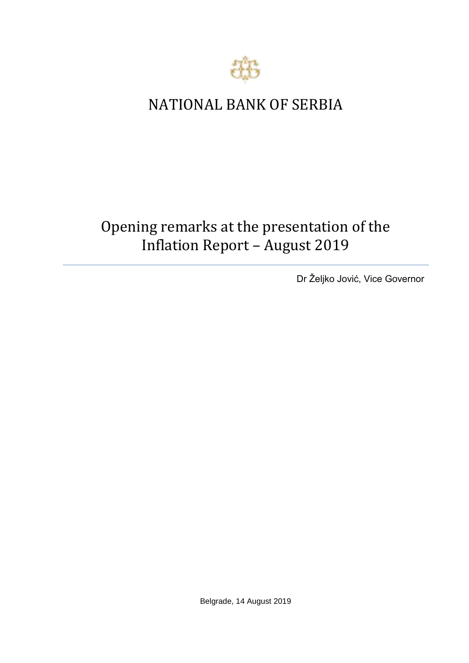

## NATIONAL BANK OF SERBIA

## Opening remarks at the presentation of the Inflation Report – August 2019

Dr Željko Jović, Vice Governor

Belgrade, 14 August 2019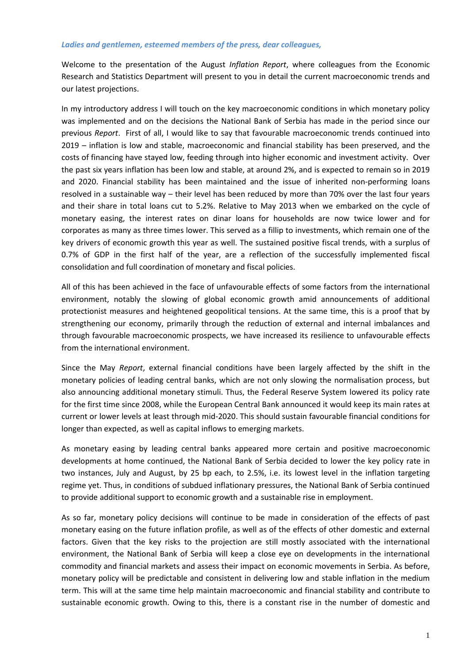## *Ladies and gentlemen, esteemed members of the press, dear colleagues,*

Welcome to the presentation of the August *Inflation Report*, where colleagues from the Economic Research and Statistics Department will present to you in detail the current macroeconomic trends and our latest projections.

In my introductory address I will touch on the key macroeconomic conditions in which monetary policy was implemented and on the decisions the National Bank of Serbia has made in the period since our previous *Report*. First of all, I would like to say that favourable macroeconomic trends continued into 2019 – inflation is low and stable, macroeconomic and financial stability has been preserved, and the costs of financing have stayed low, feeding through into higher economic and investment activity. Over the past six years inflation has been low and stable, at around 2%, and is expected to remain so in 2019 and 2020. Financial stability has been maintained and the issue of inherited non-performing loans resolved in a sustainable way – their level has been reduced by more than 70% over the last four years and their share in total loans cut to 5.2%. Relative to May 2013 when we embarked on the cycle of monetary easing, the interest rates on dinar loans for households are now twice lower and for corporates as many as three times lower. This served as a fillip to investments, which remain one of the key drivers of economic growth this year as well. The sustained positive fiscal trends, with a surplus of 0.7% of GDP in the first half of the year, are a reflection of the successfully implemented fiscal consolidation and full coordination of monetary and fiscal policies.

All of this has been achieved in the face of unfavourable effects of some factors from the international environment, notably the slowing of global economic growth amid announcements of additional protectionist measures and heightened geopolitical tensions. At the same time, this is a proof that by strengthening our economy, primarily through the reduction of external and internal imbalances and through favourable macroeconomic prospects, we have increased its resilience to unfavourable effects from the international environment.

Since the May *Report*, external financial conditions have been largely affected by the shift in the monetary policies of leading central banks, which are not only slowing the normalisation process, but also announcing additional monetary stimuli. Thus, the Federal Reserve System lowered its policy rate for the first time since 2008, while the European Central Bank announced it would keep its main rates at current or lower levels at least through mid-2020. This should sustain favourable financial conditions for longer than expected, as well as capital inflows to emerging markets.

As monetary easing by leading central banks appeared more certain and positive macroeconomic developments at home continued, the National Bank of Serbia decided to lower the key policy rate in two instances, July and August, by 25 bp each, to 2.5%, i.e. its lowest level in the inflation targeting regime yet. Thus, in conditions of subdued inflationary pressures, the National Bank of Serbia continued to provide additional support to economic growth and a sustainable rise in employment.

As so far, monetary policy decisions will continue to be made in consideration of the effects of past monetary easing on the future inflation profile, as well as of the effects of other domestic and external factors. Given that the key risks to the projection are still mostly associated with the international environment, the National Bank of Serbia will keep a close eye on developments in the international commodity and financial markets and assess their impact on economic movements in Serbia. As before, monetary policy will be predictable and consistent in delivering low and stable inflation in the medium term. This will at the same time help maintain macroeconomic and financial stability and contribute to sustainable economic growth. Owing to this, there is a constant rise in the number of domestic and